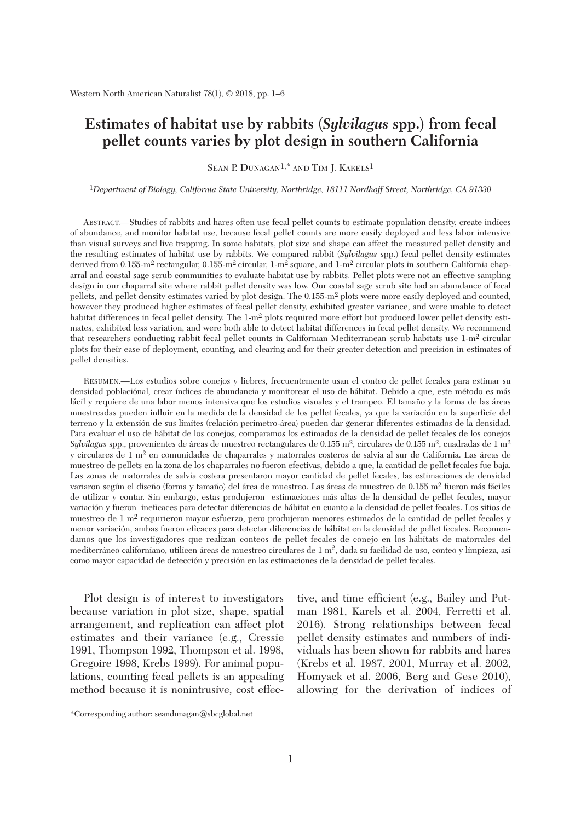# **Estimates of habitat use by rabbits (***Sylvilagus* **spp.) from fecal pellet counts varies by plot design in southern California**

SEAN P. DUNAGAN<sup>1,\*</sup> AND TIM J. KARELS<sup>1</sup>

1*Department of Biology, California State University, Northridge, 18111 Nordhoff Street, Northridge, CA 91330*

 ABSTRACT.—Studies of rabbits and hares often use fecal pellet counts to estimate population density, create indices of abundance, and monitor habitat use, because fecal pellet counts are more easily deployed and less labor intensive than visual surveys and live trapping. In some habitats, plot size and shape can affect the measured pellet density and the resulting estimates of habitat use by rabbits. We compared rabbit (*Sylvilagus* spp.) fecal pellet density estimates derived from 0.155-m2 rectangular, 0.155-m2 circular, 1-m2 square, and 1-m2 circular plots in southern California chaparral and coastal sage scrub communities to evaluate habitat use by rabbits. Pellet plots were not an effective sampling design in our chaparral site where rabbit pellet density was low. Our coastal sage scrub site had an abundance of fecal pellets, and pellet density estimates varied by plot design. The 0.155-m2 plots were more easily deployed and counted, however they produced higher estimates of fecal pellet density, exhibited greater variance, and were unable to detect habitat differences in fecal pellet density. The 1-m<sup>2</sup> plots required more effort but produced lower pellet density estimates, exhibited less variation, and were both able to detect habitat differences in fecal pellet density. We recommend that researchers conducting rabbit fecal pellet counts in Californian Mediterranean scrub habitats use 1-m2 circular plots for their ease of deployment, counting, and clearing and for their greater detection and precision in estimates of pellet densities.

 RESUMEN.—Los estudios sobre conejos y liebres, frecuentemente usan el conteo de pellet fecales para estimar su densidad poblaciónal, crear índices de abundancia y monitorear el uso de hábitat. Debido a que, este método es más fácil y requiere de una labor menos intensiva que los estudios visuales y el trampeo. El tamaño y la forma de las áreas muestreadas pueden influir en la medida de la densidad de los pellet fecales, ya que la variación en la superficie del terreno y la extensión de sus límites (relación perímetro-área) pueden dar generar diferentes estimados de la densidad. Para evaluar el uso de hábitat de los conejos, comparamos los estimados de la densidad de pellet fecales de los conejos *Sylvilagus* spp., provenientes de áreas de muestreo rectangulares de 0.155 m2, circulares de 0.155 m2, cuadradas de 1 m2 y circulares de 1 m2 en comunidades de chaparrales y matorrales costeros de salvia al sur de California. Las áreas de muestreo de pellets en la zona de los chaparrales no fueron efectivas, debido a que, la cantidad de pellet fecales fue baja. Las zonas de matorrales de salvia costera presentaron mayor cantidad de pellet fecales, las estimaciones de densidad variaron según el diseño (forma y tamaño) del área de muestreo. Las áreas de muestreo de 0.155 m<sup>2</sup> fueron más fáciles de utilizar y contar. Sin embargo, estas produjeron estimaciones más altas de la densidad de pellet fecales, mayor variación y fueron ineficaces para detectar diferencias de hábitat en cuanto a la densidad de pellet fecales. Los sitios de muestreo de 1 m2 requirieron mayor esfuerzo, pero produjeron menores estimados de la cantidad de pellet fecales y menor variación, ambas fueron eficaces para detectar diferencias de hábitat en la densidad de pellet fecales. Recomendamos que los investigadores que realizan conteos de pellet fecales de conejo en los hábitats de matorrales del mediterráneo californiano, utilicen áreas de muestreo circulares de 1 m2, dada su facilidad de uso, conteo y limpieza, así como mayor capacidad de detección y precisión en las estimaciones de la densidad de pellet fecales.

 Plot design is of interest to investigators because variation in plot size, shape, spatial arrangement, and replication can affect plot estimates and their variance (e.g., Cressie 1991, Thompson 1992, Thompson et al. 1998, Gregoire 1998, Krebs 1999). For animal populations, counting fecal pellets is an appealing method because it is nonintrusive, cost effec-

tive, and time efficient (e.g., Bailey and Putman 1981, Karels et al. 2004, Ferretti et al. 2016). Strong relationships between fecal pellet density estimates and numbers of individuals has been shown for rabbits and hares (Krebs et al. 1987, 2001, Murray et al. 2002, Homyack et al. 2006, Berg and Gese 2010), allowing for the derivation of indices of

<sup>\*</sup>Corresponding author: seandunagan@sbcglobal.net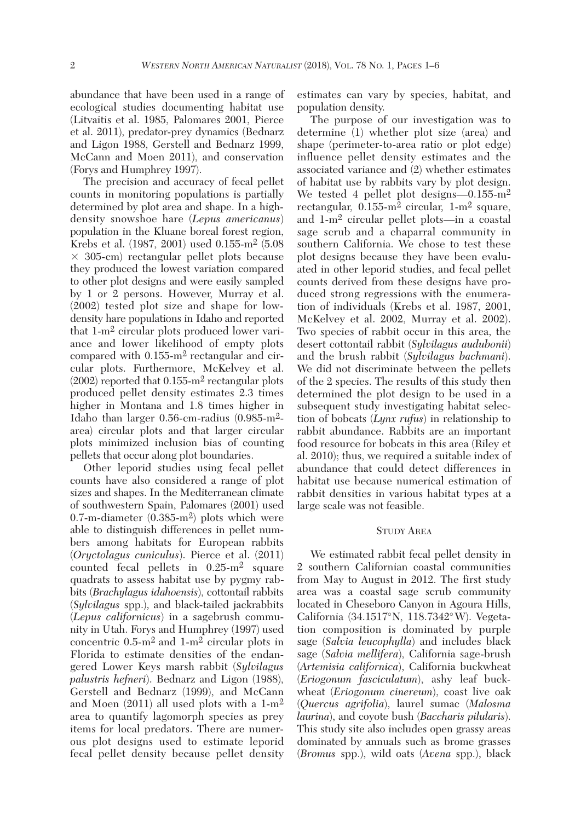abundance that have been used in a range of ecological studies documenting habitat use (Litvaitis et al. 1985, Palomares 2001, Pierce et al. 2011), predator-prey dynamics (Bednarz and Ligon 1988, Gerstell and Bednarz 1999, McCann and Moen 2011), and conservation (Forys and Humphrey 1997).

 The precision and accuracy of fecal pellet counts in monitoring populations is partially determined by plot area and shape. In a highdensity snowshoe hare (*Lepus americanus*) population in the Kluane boreal forest region, Krebs et al. (1987, 2001) used 0.155-m2 (5.08  $\times$  305-cm) rectangular pellet plots because they produced the lowest variation compared to other plot designs and were easily sampled by 1 or 2 persons. However, Murray et al. (2002) tested plot size and shape for lowdensity hare populations in Idaho and reported that 1-m2 circular plots produced lower variance and lower likelihood of empty plots compared with 0.155-m2 rectangular and circular plots. Furthermore, McKelvey et al. (2002) reported that 0.155-m2 rectangular plots produced pellet density estimates 2.3 times higher in Montana and 1.8 times higher in Idaho than larger 0.56-cm-radius (0.985-m2 area) circular plots and that larger circular plots minimized inclusion bias of counting pellets that occur along plot boundaries.

 Other leporid studies using fecal pellet counts have also considered a range of plot sizes and shapes. In the Mediterranean climate of southwestern Spain, Palomares (2001) used 0.7-m-diameter (0.385-m2) plots which were able to distinguish differences in pellet numbers among habitats for European rabbits (*Oryctolagus cuniculus*). Pierce et al. (2011) counted fecal pellets in 0.25-m2 square quadrats to assess habitat use by pygmy rabbits (*Brachylagus idahoensis*), cottontail rabbits (*Sylvilagus* spp.), and black-tailed jackrabbits (*Lepus californicus*) in a sagebrush community in Utah. Forys and Humphrey (1997) used concentric 0.5-m2 and 1-m2 circular plots in Florida to estimate densities of the endangered Lower Keys marsh rabbit (*Sylvilagus palustris hefneri*). Bednarz and Ligon (1988), Gerstell and Bednarz (1999), and McCann and Moen (2011) all used plots with a 1-m2 area to quantify lagomorph species as prey items for local predators. There are numerous plot designs used to estimate leporid fecal pellet density because pellet density estimates can vary by species, habitat, and population density.

 The purpose of our investigation was to determine (1) whether plot size (area) and shape (perimeter-to-area ratio or plot edge) influence pellet density estimates and the associated variance and (2) whether estimates of habitat use by rabbits vary by plot design. We tested 4 pellet plot designs—0.155-m<sup>2</sup> rectangular,  $0.155 \text{ m}^2$  circular,  $1 \text{ m}^2$  square, and 1-m2 circular pellet plots—in a coastal sage scrub and a chaparral community in southern California. We chose to test these plot designs because they have been evaluated in other leporid studies, and fecal pellet counts derived from these designs have produced strong regressions with the enumeration of individuals (Krebs et al. 1987, 2001, McKelvey et al. 2002, Murray et al. 2002). Two species of rabbit occur in this area, the desert cottontail rabbit (*Sylvilagus audubonii*) and the brush rabbit (*Sylvilagus bachmani*). We did not discriminate between the pellets of the 2 species. The results of this study then determined the plot design to be used in a subsequent study investigating habitat selection of bobcats (*Lynx rufus*) in relationship to rabbit abundance. Rabbits are an important food resource for bobcats in this area (Riley et al. 2010); thus, we required a suitable index of abundance that could detect differences in habitat use because numerical estimation of rabbit densities in various habitat types at a large scale was not feasible.

#### STUDY AREA

 We estimated rabbit fecal pellet density in 2 southern Californian coastal communities from May to August in 2012. The first study area was a coastal sage scrub community located in Cheseboro Canyon in Agoura Hills, California (34.1517°N, 118.7342°W). Vegetation composition is dominated by purple sage (*Salvia leucophylla*) and includes black sage (*Salvia mellifera*), California sage-brush (*Artemisia californica*), California buckwheat (*Eriogonum fasciculatum*), ashy leaf buckwheat (*Eriogonum cinereum*), coast live oak (*Quercus agrifolia*), laurel sumac (*Malosma laurina*), and coyote bush (*Baccharis pilularis*). This study site also includes open grassy areas dominated by annuals such as brome grasses (*Bromus* spp.), wild oats (*Avena* spp.), black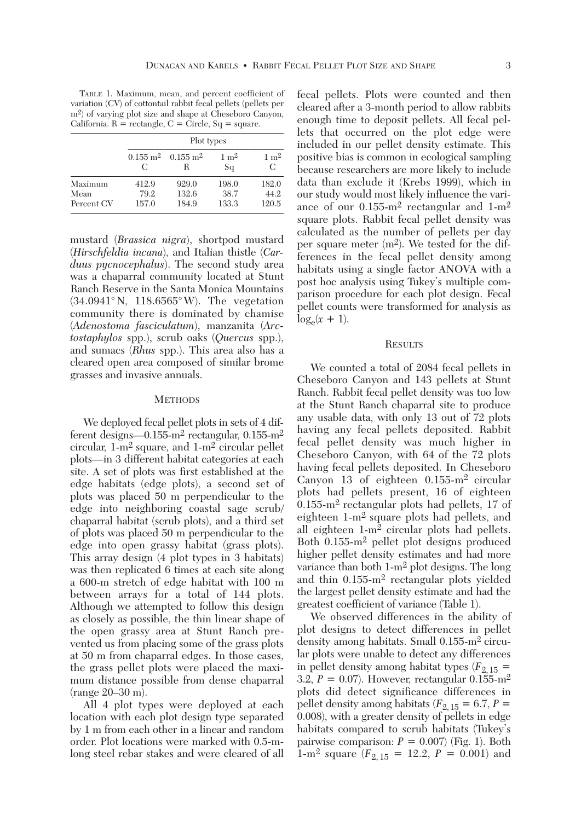TABLE 1. Maximum, mean, and percent coefficient of variation (CV) of cottontail rabbit fecal pellets (pellets per m2) of varying plot size and shape at Cheseboro Canyon, California.  $R =$  rectangle,  $C =$  Circle,  $Sq =$  square.

|            | Plot types                   |                              |                       |                      |
|------------|------------------------------|------------------------------|-----------------------|----------------------|
|            | $0.155 \; \mathrm{m}^2$<br>C | $0.155 \; \mathrm{m}^2$<br>R | $1 \text{ m}^2$<br>Sq | $1 \text{ m}^2$<br>C |
| Maximum    | 412.9                        | 929.0                        | 198.0                 | 182.0                |
| Mean       | 79.2                         | 132.6                        | 38.7                  | 44.2                 |
| Percent CV | 157.0                        | 184.9                        | 133.3                 | 120.5                |

mustard (*Brassica nigra*), shortpod mustard (*Hirschfeldia incana*), and Italian thistle (*Carduus pycnocephalus*). The second study area was a chaparral community located at Stunt Ranch Reserve in the Santa Monica Mountains (34.0941° N, 118.6565° W). The vegetation community there is dominated by chamise (*Adenostoma fasciculatum*), manzanita (*Arctostaphylos* spp.), scrub oaks (*Quercus* spp.), and sumacs (*Rhus* spp.). This area also has a cleared open area composed of similar brome grasses and invasive annuals.

## **METHODS**

 We deployed fecal pellet plots in sets of 4 different designs—0.155-m<sup>2</sup> rectangular, 0.155-m<sup>2</sup> circular, 1-m2 square, and 1-m2 circular pellet plots—in 3 different habitat categories at each site. A set of plots was first established at the edge habitats (edge plots), a second set of plots was placed 50 m perpendicular to the edge into neighboring coastal sage scrub/ chaparral habitat (scrub plots), and a third set of plots was placed 50 m perpendicular to the edge into open grassy habitat (grass plots). This array design (4 plot types in 3 habitats) was then replicated 6 times at each site along a 600-m stretch of edge habitat with 100 m between arrays for a total of 144 plots. Although we attempted to follow this design as closely as possible, the thin linear shape of the open grassy area at Stunt Ranch prevented us from placing some of the grass plots at 50 m from chaparral edges. In those cases, the grass pellet plots were placed the maximum distance possible from dense chaparral (range 20–30 m).

 All 4 plot types were deployed at each location with each plot design type separated by 1 m from each other in a linear and random order. Plot locations were marked with 0.5-mlong steel rebar stakes and were cleared of all fecal pellets. Plots were counted and then cleared after a 3-month period to allow rabbits enough time to deposit pellets. All fecal pellets that occurred on the plot edge were included in our pellet density estimate. This positive bias is common in ecological sampling because researchers are more likely to include data than exclude it (Krebs 1999), which in our study would most likely influence the variance of our 0.155-m2 rectangular and 1-m2 square plots. Rabbit fecal pellet density was calculated as the number of pellets per day per square meter (m2). We tested for the differences in the fecal pellet density among habitats using a single factor ANOVA with a post hoc analysis using Tukey's multiple comparison procedure for each plot design. Fecal pellet counts were transformed for analysis as  $\log_e(x + 1)$ .

## **RESULTS**

 We counted a total of 2084 fecal pellets in Cheseboro Canyon and 143 pellets at Stunt Ranch. Rabbit fecal pellet density was too low at the Stunt Ranch chaparral site to produce any usable data, with only 13 out of 72 plots having any fecal pellets deposited. Rabbit fecal pellet density was much higher in Cheseboro Canyon, with 64 of the 72 plots having fecal pellets deposited. In Cheseboro Canyon 13 of eighteen 0.155-m2 circular plots had pellets present, 16 of eighteen 0.155-m2 rectangular plots had pellets, 17 of eighteen 1-m2 square plots had pellets, and all eighteen 1-m2 circular plots had pellets. Both 0.155-m2 pellet plot designs produced higher pellet density estimates and had more variance than both 1-m2 plot designs. The long and thin 0.155-m2 rectangular plots yielded the largest pellet density estimate and had the greatest coefficient of variance (Table 1).

 We observed differences in the ability of plot designs to detect differences in pellet density among habitats. Small 0.155-m2 circular plots were unable to detect any differences in pellet density among habitat types  $(F_{2,15} =$ 3.2,  $P = 0.07$ . However, rectangular  $0.155$ -m<sup>2</sup> plots did detect significance differences in pellet density among habitats ( $F_{2,15} = 6.7, P =$ 0.008), with a greater density of pellets in edge habitats compared to scrub habitats (Tukey's pairwise comparison:  $P = 0.007$  (Fig. 1). Both 1-m<sup>2</sup> square ( $F_{2, 15} = 12.2, P = 0.001$ ) and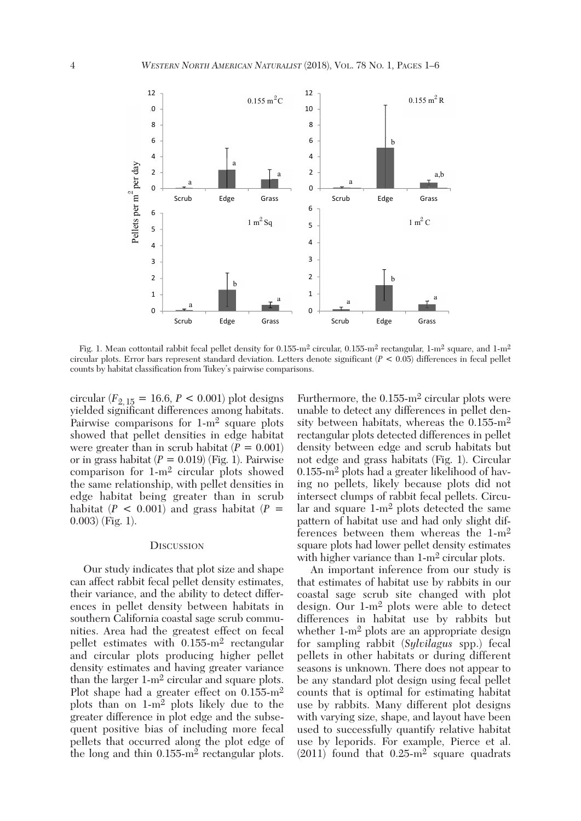

Fig. 1. Mean cottontail rabbit fecal pellet density for 0.155-m<sup>2</sup> circular, 0.155-m<sup>2</sup> rectangular, 1-m<sup>2</sup> square, and 1-m<sup>2</sup> circular plots. Error bars represent standard deviation. Letters denote significant (*P* < 0.05) differences in fecal pellet counts by habitat classification from Tukey's pairwise comparisons.

circular  $(F_{2,15} = 16.6, P < 0.001)$  plot designs yielded significant differences among habitats. Pairwise comparisons for 1-m2 square plots showed that pellet densities in edge habitat were greater than in scrub habitat  $(P = 0.001)$ or in grass habitat  $(P = 0.019)$  (Fig. 1). Pairwise comparison for 1-m2 circular plots showed the same relationship, with pellet densities in edge habitat being greater than in scrub habitat  $(P < 0.001)$  and grass habitat  $(P =$ 0.003) (Fig. 1).

#### **DISCUSSION**

 Our study indicates that plot size and shape can affect rabbit fecal pellet density estimates, their variance, and the ability to detect differences in pellet density between habitats in southern California coastal sage scrub communities. Area had the greatest effect on fecal pellet estimates with 0.155-m2 rectangular and circular plots producing higher pellet density estimates and having greater variance than the larger 1-m2 circular and square plots. Plot shape had a greater effect on 0.155-m<sup>2</sup> plots than on 1-m2 plots likely due to the greater difference in plot edge and the subsequent positive bias of including more fecal pellets that occurred along the plot edge of the long and thin 0.155-m2 rectangular plots. Furthermore, the 0.155-m2 circular plots were unable to detect any differences in pellet density between habitats, whereas the 0.155-m2 rectangular plots detected differences in pellet density between edge and scrub habitats but not edge and grass habitats (Fig. 1). Circular 0.155-m2 plots had a greater likelihood of having no pellets, likely because plots did not intersect clumps of rabbit fecal pellets. Circular and square  $1-m^2$  plots detected the same pattern of habitat use and had only slight differences between them whereas the 1-m2 square plots had lower pellet density estimates with higher variance than  $1-m^2$  circular plots.

 An important inference from our study is that estimates of habitat use by rabbits in our coastal sage scrub site changed with plot design. Our 1-m2 plots were able to detect differences in habitat use by rabbits but whether 1-m<sup>2</sup> plots are an appropriate design for sampling rabbit (*Sylvilagus* spp.) fecal pellets in other habitats or during different seasons is unknown. There does not appear to be any standard plot design using fecal pellet counts that is optimal for estimating habitat use by rabbits. Many different plot designs with varying size, shape, and layout have been used to successfully quantify relative habitat use by leporids. For example, Pierce et al.  $(2011)$  found that  $0.25 \text{--} m^2$  square quadrats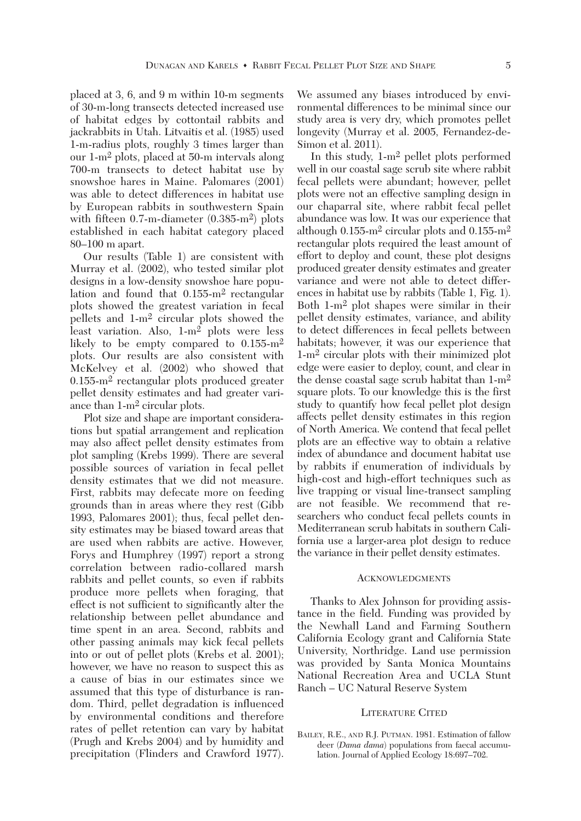placed at 3, 6, and 9 m within 10-m segments of 30-m-long transects detected increased use of habitat edges by cottontail rabbits and jackrabbits in Utah. Litvaitis et al. (1985) used 1-m-radius plots, roughly 3 times larger than our 1-m2 plots, placed at 50-m intervals along 700-m transects to detect habitat use by snowshoe hares in Maine. Palomares (2001) was able to detect differences in habitat use by European rabbits in southwestern Spain with fifteen 0.7-m-diameter (0.385-m<sup>2</sup>) plots established in each habitat category placed 80–100 m apart.

 Our results (Table 1) are consistent with Murray et al. (2002), who tested similar plot designs in a low-density snowshoe hare population and found that 0.155-m2 rectangular plots showed the greatest variation in fecal pellets and 1-m2 circular plots showed the least variation. Also, 1-m2 plots were less likely to be empty compared to 0.155-m<sup>2</sup> plots. Our results are also consistent with McKelvey et al. (2002) who showed that 0.155-m2 rectangular plots produced greater pellet density estimates and had greater variance than 1-m2 circular plots.

 Plot size and shape are important considerations but spatial arrangement and replication may also affect pellet density estimates from plot sampling (Krebs 1999). There are several possible sources of variation in fecal pellet density estimates that we did not measure. First, rabbits may defecate more on feeding grounds than in areas where they rest (Gibb 1993, Palomares 2001); thus, fecal pellet density estimates may be biased toward areas that are used when rabbits are active. However, Forys and Humphrey (1997) report a strong correlation between radio-collared marsh rabbits and pellet counts, so even if rabbits produce more pellets when foraging, that effect is not sufficient to significantly alter the relationship between pellet abundance and time spent in an area. Second, rabbits and other passing animals may kick fecal pellets into or out of pellet plots (Krebs et al. 2001); however, we have no reason to suspect this as a cause of bias in our estimates since we assumed that this type of disturbance is random. Third, pellet degradation is influenced by environmental conditions and therefore rates of pellet retention can vary by habitat (Prugh and Krebs 2004) and by humidity and precipitation (Flinders and Crawford 1977). We assumed any biases introduced by environmental differences to be minimal since our study area is very dry, which promotes pellet longevity (Murray et al. 2005, Fernandez-de-Simon et al. 2011).

 In this study, 1-m2 pellet plots performed well in our coastal sage scrub site where rabbit fecal pellets were abundant; however, pellet plots were not an effective sampling design in our chaparral site, where rabbit fecal pellet abundance was low. It was our experience that although  $0.155\text{-m}^2$  circular plots and  $0.155\text{-m}^2$ rectangular plots required the least amount of effort to deploy and count, these plot designs produced greater density estimates and greater variance and were not able to detect differences in habitat use by rabbits (Table 1, Fig. 1). Both 1-m2 plot shapes were similar in their pellet density estimates, variance, and ability to detect differences in fecal pellets between habitats; however, it was our experience that 1-m2 circular plots with their minimized plot edge were easier to deploy, count, and clear in the dense coastal sage scrub habitat than 1-m2 square plots. To our knowledge this is the first study to quantify how fecal pellet plot design affects pellet density estimates in this region of North America. We contend that fecal pellet plots are an effective way to obtain a relative index of abundance and document habitat use by rabbits if enumeration of individuals by high-cost and high-effort techniques such as live trapping or visual line-transect sampling are not feasible. We recommend that researchers who conduct fecal pellets counts in Mediterranean scrub habitats in southern California use a larger-area plot design to reduce the variance in their pellet density estimates.

# **ACKNOWLEDGMENTS**

 Thanks to Alex Johnson for providing assistance in the field. Funding was provided by the Newhall Land and Farming Southern California Ecology grant and California State University, Northridge. Land use permission was provided by Santa Monica Mountains National Recreation Area and UCLA Stunt Ranch – UC Natural Reserve System

### LITERATURE CITED

BAILEY, R.E., AND R.J. PUTMAN. 1981. Estimation of fallow deer (*Dama dama*) populations from faecal accumulation. Journal of Applied Ecology 18:697–702.